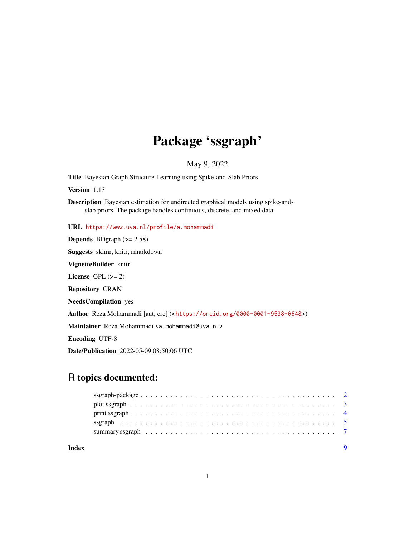# Package 'ssgraph'

May 9, 2022

<span id="page-0-0"></span>Title Bayesian Graph Structure Learning using Spike-and-Slab Priors

Version 1.13

Description Bayesian estimation for undirected graphical models using spike-andslab priors. The package handles continuous, discrete, and mixed data.

URL <https://www.uva.nl/profile/a.mohammadi>

**Depends** BDgraph  $(>= 2.58)$ 

Suggests skimr, knitr, rmarkdown

VignetteBuilder knitr

License GPL  $(>= 2)$ 

Repository CRAN

NeedsCompilation yes

Author Reza Mohammadi [aut, cre] (<<https://orcid.org/0000-0001-9538-0648>>)

Maintainer Reza Mohammadi <a.mohammadi@uva.nl>

Encoding UTF-8

Date/Publication 2022-05-09 08:50:06 UTC

## R topics documented:

| Index |  |  |  |  |  |  |  |  |  |  |  |  |  |  |  |  |  |
|-------|--|--|--|--|--|--|--|--|--|--|--|--|--|--|--|--|--|
|       |  |  |  |  |  |  |  |  |  |  |  |  |  |  |  |  |  |
|       |  |  |  |  |  |  |  |  |  |  |  |  |  |  |  |  |  |
|       |  |  |  |  |  |  |  |  |  |  |  |  |  |  |  |  |  |
|       |  |  |  |  |  |  |  |  |  |  |  |  |  |  |  |  |  |
|       |  |  |  |  |  |  |  |  |  |  |  |  |  |  |  |  |  |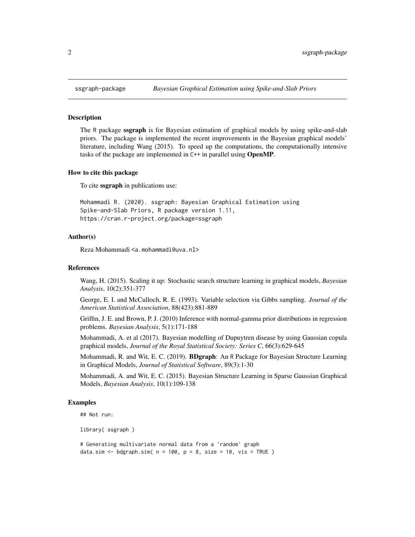#### Description

The R package ssgraph is for Bayesian estimation of graphical models by using spike-and-slab priors. The package is implemented the recent improvements in the Bayesian graphical models' literature, including Wang (2015). To speed up the computations, the computationally intensive tasks of the package are implemented in C++ in parallel using OpenMP.

#### How to cite this package

To cite ssgraph in publications use:

```
Mohammadi R. (2020). ssgraph: Bayesian Graphical Estimation using
Spike-and-Slab Priors, R package version 1.11,
https://cran.r-project.org/package=ssgraph
```
## Author(s)

Reza Mohammadi <a.mohammadi@uva.nl>

#### References

Wang, H. (2015). Scaling it up: Stochastic search structure learning in graphical models, *Bayesian Analysis*, 10(2):351-377

George, E. I. and McCulloch, R. E. (1993). Variable selection via Gibbs sampling. *Journal of the American Statistical Association*, 88(423):881-889

Griffin, J. E. and Brown, P. J. (2010) Inference with normal-gamma prior distributions in regression problems. *Bayesian Analysis*, 5(1):171-188

Mohammadi, A. et al (2017). Bayesian modelling of Dupuytren disease by using Gaussian copula graphical models, *Journal of the Royal Statistical Society: Series C*, 66(3):629-645

Mohammadi, R. and Wit, E. C. (2019). **BDgraph**: An R Package for Bayesian Structure Learning in Graphical Models, *Journal of Statistical Software*, 89(3):1-30

Mohammadi, A. and Wit, E. C. (2015). Bayesian Structure Learning in Sparse Gaussian Graphical Models, *Bayesian Analysis*, 10(1):109-138

## Examples

```
## Not run:
```
library( ssgraph )

# Generating multivariate normal data from a 'random' graph data.sim  $\leq$  bdgraph.sim(  $n = 100$ ,  $p = 8$ , size = 10, vis = TRUE )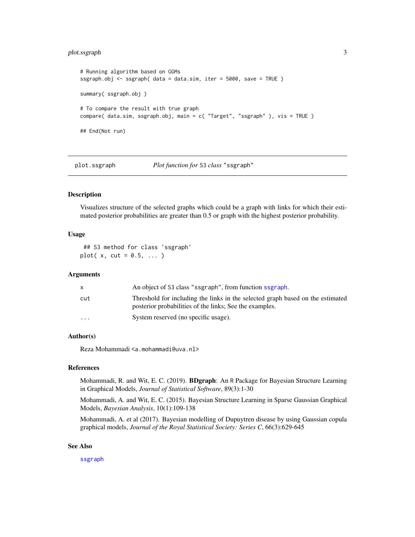## <span id="page-2-0"></span>plot.ssgraph 3

```
# Running algorithm based on GGMs
ssgraph.obj <- ssgraph( data = data.sim, iter = 5000, save = TRUE )
summary( ssgraph.obj )
# To compare the result with true graph
compare( data.sim, ssgraph.obj, main = c( "Target", "ssgraph" ), vis = TRUE )
## End(Not run)
```
## plot.ssgraph *Plot function for* S3 *class* "ssgraph"

## Description

Visualizes structure of the selected graphs which could be a graph with links for which their estimated posterior probabilities are greater than 0.5 or graph with the highest posterior probability.

#### Usage

## S3 method for class 'ssgraph'  $plot(x, cut = 0.5, ...)$ 

#### Arguments

|          | An object of S3 class "ssgraph", from function ssgraph.                                                                                   |
|----------|-------------------------------------------------------------------------------------------------------------------------------------------|
| cut      | Threshold for including the links in the selected graph based on the estimated<br>posterior probabilities of the links; See the examples. |
| $\cdots$ | System reserved (no specific usage).                                                                                                      |

## Author(s)

Reza Mohammadi <a.mohammadi@uva.nl>

#### References

Mohammadi, R. and Wit, E. C. (2019). BDgraph: An R Package for Bayesian Structure Learning in Graphical Models, *Journal of Statistical Software*, 89(3):1-30

Mohammadi, A. and Wit, E. C. (2015). Bayesian Structure Learning in Sparse Gaussian Graphical Models, *Bayesian Analysis*, 10(1):109-138

Mohammadi, A. et al (2017). Bayesian modelling of Dupuytren disease by using Gaussian copula graphical models, *Journal of the Royal Statistical Society: Series C*, 66(3):629-645

## See Also

[ssgraph](#page-4-1)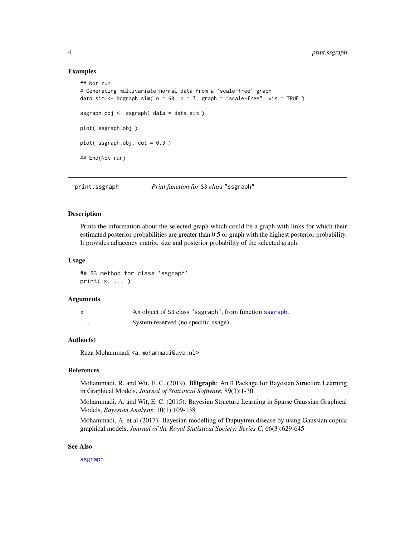#### Examples

```
## Not run:
# Generating multivariate normal data from a 'scale-free' graph
data.sim \leq bdgraph.sim( n = 60, p = 7, graph = "scale-free", vis = TRUE )
ssgraph.obj <- ssgraph( data = data.sim )
plot( ssgraph.obj )
plot(ssgraph.obj, cut = 0.3)
## End(Not run)
```
print.ssgraph *Print function for* S3 *class* "ssgraph"

#### Description

Prints the information about the selected graph which could be a graph with links for which their estimated posterior probabilities are greater than 0.5 or graph with the highest posterior probability. It provides adjacency matrix, size and posterior probability of the selected graph.

#### Usage

## S3 method for class 'ssgraph' print( x, ... )

## **Arguments**

|   | An object of S3 class "ssgraph", from function ssgraph. |
|---|---------------------------------------------------------|
| . | System reserved (no specific usage).                    |

## Author(s)

Reza Mohammadi <a.mohammadi@uva.nl>

#### References

Mohammadi, R. and Wit, E. C. (2019). BDgraph: An R Package for Bayesian Structure Learning in Graphical Models, *Journal of Statistical Software*, 89(3):1-30

Mohammadi, A. and Wit, E. C. (2015). Bayesian Structure Learning in Sparse Gaussian Graphical Models, *Bayesian Analysis*, 10(1):109-138

Mohammadi, A. et al (2017). Bayesian modelling of Dupuytren disease by using Gaussian copula graphical models, *Journal of the Royal Statistical Society: Series C*, 66(3):629-645

## See Also

[ssgraph](#page-4-1)

<span id="page-3-0"></span>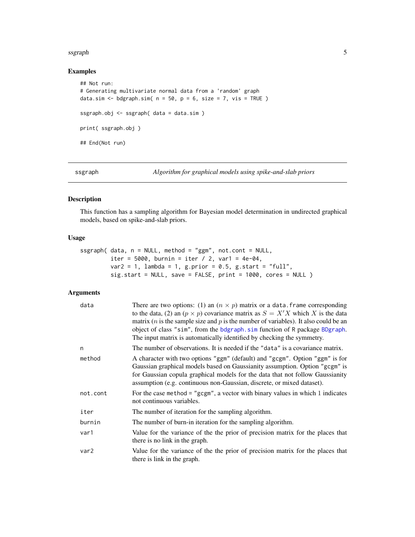#### <span id="page-4-0"></span>ssgraph 5 and 5 and 5 and 5 and 5 and 5 and 5 and 5 and 5 and 5 and 5 and 5 and 5 and 5 and 5 and 5 and 5 and 5

## Examples

```
## Not run:
# Generating multivariate normal data from a 'random' graph
data.sim \leq bdgraph.sim( n = 50, p = 6, size = 7, vis = TRUE )
ssgraph.obj <- ssgraph( data = data.sim )
print( ssgraph.obj )
## End(Not run)
```
<span id="page-4-1"></span>ssgraph *Algorithm for graphical models using spike-and-slab priors*

## Description

This function has a sampling algorithm for Bayesian model determination in undirected graphical models, based on spike-and-slab priors.

### Usage

```
ssgraph( data, n = NULL, method = "ggm", not.cont = NULL,
        iter = 5000, burnin = iter / 2, var1 = 4e-04,
        var2 = 1, lambda = 1, g.prior = 0.5, g.start = "full",
        sig.start = NULL, save = FALSE, print = 1000, cores = NULL )
```
## Arguments

| data     | There are two options: (1) an $(n \times p)$ matrix or a data. frame corresponding<br>to the data, (2) an $(p \times p)$ covariance matrix as $S = X'X$ which X is the data<br>matrix ( <i>n</i> is the sample size and <i>p</i> is the number of variables). It also could be an<br>object of class "sim", from the bdgraph. sim function of R package BDgraph.<br>The input matrix is automatically identified by checking the symmetry. |
|----------|--------------------------------------------------------------------------------------------------------------------------------------------------------------------------------------------------------------------------------------------------------------------------------------------------------------------------------------------------------------------------------------------------------------------------------------------|
| n        | The number of observations. It is needed if the "data" is a covariance matrix.                                                                                                                                                                                                                                                                                                                                                             |
| method   | A character with two options "ggm" (default) and "gcgm". Option "ggm" is for<br>Gaussian graphical models based on Gaussianity assumption. Option "gcgm" is<br>for Gaussian copula graphical models for the data that not follow Gaussianity<br>assumption (e.g. continuous non-Gaussian, discrete, or mixed dataset).                                                                                                                     |
| not.cont | For the case method = " $\gamma$ gcgm", a vector with binary values in which 1 indicates<br>not continuous variables.                                                                                                                                                                                                                                                                                                                      |
| iter     | The number of iteration for the sampling algorithm.                                                                                                                                                                                                                                                                                                                                                                                        |
| burnin   | The number of burn-in iteration for the sampling algorithm.                                                                                                                                                                                                                                                                                                                                                                                |
| var1     | Value for the variance of the the prior of precision matrix for the places that<br>there is no link in the graph.                                                                                                                                                                                                                                                                                                                          |
| var2     | Value for the variance of the the prior of precision matrix for the places that<br>there is link in the graph.                                                                                                                                                                                                                                                                                                                             |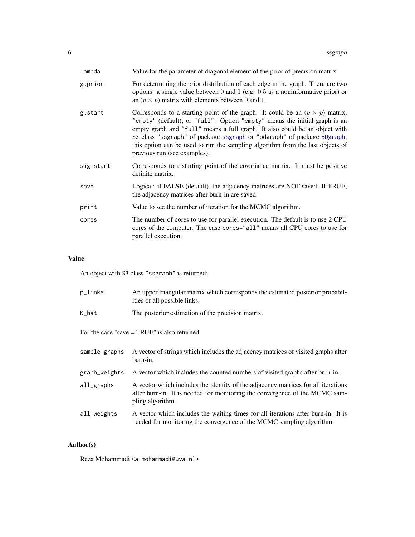<span id="page-5-0"></span>

| lambda    | Value for the parameter of diagonal element of the prior of precision matrix.                                                                                                                                                                                                                                                                                                                                                               |
|-----------|---------------------------------------------------------------------------------------------------------------------------------------------------------------------------------------------------------------------------------------------------------------------------------------------------------------------------------------------------------------------------------------------------------------------------------------------|
| g.prior   | For determining the prior distribution of each edge in the graph. There are two<br>options: a single value between $0$ and $1$ (e.g. $0.5$ as a noninformative prior) or<br>an $(p \times p)$ matrix with elements between 0 and 1.                                                                                                                                                                                                         |
| g.start   | Corresponds to a starting point of the graph. It could be an $(p \times p)$ matrix,<br>"empty" (default), or "full". Option "empty" means the initial graph is an<br>empty graph and "full" means a full graph. It also could be an object with<br>S3 class "ssgraph" of package ssgraph or "bdgraph" of package BDgraph;<br>this option can be used to run the sampling algorithm from the last objects of<br>previous run (see examples). |
| sig.start | Corresponds to a starting point of the covariance matrix. It must be positive<br>definite matrix.                                                                                                                                                                                                                                                                                                                                           |
| save      | Logical: if FALSE (default), the adjacency matrices are NOT saved. If TRUE,<br>the adjacency matrices after burn-in are saved.                                                                                                                                                                                                                                                                                                              |
| print     | Value to see the number of iteration for the MCMC algorithm.                                                                                                                                                                                                                                                                                                                                                                                |
| cores     | The number of cores to use for parallel execution. The default is to use 2 CPU<br>cores of the computer. The case cores="all" means all CPU cores to use for<br>parallel execution.                                                                                                                                                                                                                                                         |

## Value

An object with S3 class "ssgraph" is returned:

| p_links       | An upper triangular matrix which corresponds the estimated posterior probabil-<br>ities of all possible links.                                                                       |
|---------------|--------------------------------------------------------------------------------------------------------------------------------------------------------------------------------------|
| K_hat         | The posterior estimation of the precision matrix.                                                                                                                                    |
|               | For the case "save $=$ TRUE" is also returned:                                                                                                                                       |
| sample_graphs | A vector of strings which includes the adjacency matrices of visited graphs after<br>burn-in.                                                                                        |
| graph_weights | A vector which includes the counted numbers of visited graphs after burn-in.                                                                                                         |
| all_graphs    | A vector which includes the identity of the adjacency matrices for all iterations<br>after burn-in. It is needed for monitoring the convergence of the MCMC sam-<br>pling algorithm. |
| all_weights   | A vector which includes the waiting times for all iterations after burn-in. It is<br>needed for monitoring the convergence of the MCMC sampling algorithm.                           |

## Author(s)

Reza Mohammadi <a.mohammadi@uva.nl>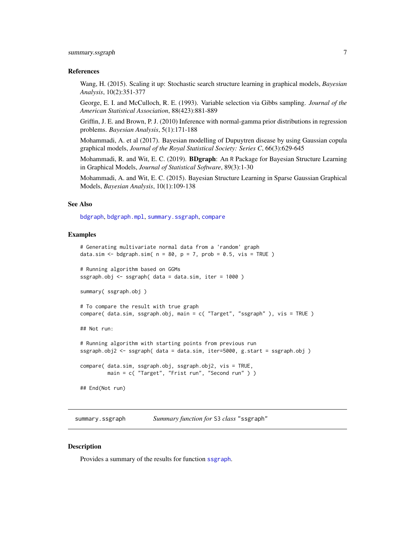#### <span id="page-6-0"></span>References

Wang, H. (2015). Scaling it up: Stochastic search structure learning in graphical models, *Bayesian Analysis*, 10(2):351-377

George, E. I. and McCulloch, R. E. (1993). Variable selection via Gibbs sampling. *Journal of the American Statistical Association*, 88(423):881-889

Griffin, J. E. and Brown, P. J. (2010) Inference with normal-gamma prior distributions in regression problems. *Bayesian Analysis*, 5(1):171-188

Mohammadi, A. et al (2017). Bayesian modelling of Dupuytren disease by using Gaussian copula graphical models, *Journal of the Royal Statistical Society: Series C*, 66(3):629-645

Mohammadi, R. and Wit, E. C. (2019). **BDgraph**: An R Package for Bayesian Structure Learning in Graphical Models, *Journal of Statistical Software*, 89(3):1-30

Mohammadi, A. and Wit, E. C. (2015). Bayesian Structure Learning in Sparse Gaussian Graphical Models, *Bayesian Analysis*, 10(1):109-138

#### See Also

[bdgraph](#page-0-0), [bdgraph.mpl](#page-0-0), [summary.ssgraph](#page-6-1), [compare](#page-0-0)

## Examples

```
# Generating multivariate normal data from a 'random' graph
data.sim <- bdgraph.sim(n = 80, p = 7, prob = 0.5, vis = TRUE)
# Running algorithm based on GGMs
ssgraph.obj <- ssgraph( data = data.sim, iter = 1000 )
summary( ssgraph.obj )
# To compare the result with true graph
compare( data.sim, ssgraph.obj, main = c( "Target", "ssgraph" ), vis = TRUE )
## Not run:
# Running algorithm with starting points from previous run
ssgraph.obj2 <- ssgraph( data = data.sim, iter=5000, g.start = ssgraph.obj )
compare( data.sim, ssgraph.obj, ssgraph.obj2, vis = TRUE,
        main = c( "Target", "Frist run", "Second run" ) )
## End(Not run)
```
<span id="page-6-1"></span>summary.ssgraph *Summary function for* S3 *class* "ssgraph"

## **Description**

Provides a summary of the results for function [ssgraph](#page-4-1).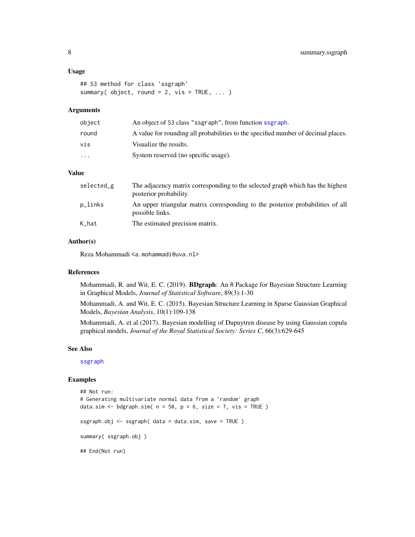#### <span id="page-7-0"></span>Usage

```
## S3 method for class 'ssgraph'
summary( object, round = 2, vis = TRUE, ... )
```
#### Arguments

| object                  | An object of S3 class "ssgraph", from function ssgraph.                           |
|-------------------------|-----------------------------------------------------------------------------------|
| round                   | A value for rounding all probabilities to the specified number of decimal places. |
| vis                     | Visualize the results.                                                            |
| $\cdot$ $\cdot$ $\cdot$ | System reserved (no specific usage).                                              |

#### Value

| selected_g | The adjacency matrix corresponding to the selected graph which has the highest<br>posterior probability. |
|------------|----------------------------------------------------------------------------------------------------------|
| p_links    | An upper triangular matrix corresponding to the posterior probabilities of all<br>possible links.        |
| K_hat      | The estimated precision matrix.                                                                          |

#### Author(s)

Reza Mohammadi <a.mohammadi@uva.nl>

## References

Mohammadi, R. and Wit, E. C. (2019). BDgraph: An R Package for Bayesian Structure Learning in Graphical Models, *Journal of Statistical Software*, 89(3):1-30

Mohammadi, A. and Wit, E. C. (2015). Bayesian Structure Learning in Sparse Gaussian Graphical Models, *Bayesian Analysis*, 10(1):109-138

Mohammadi, A. et al (2017). Bayesian modelling of Dupuytren disease by using Gaussian copula graphical models, *Journal of the Royal Statistical Society: Series C*, 66(3):629-645

#### See Also

[ssgraph](#page-4-1)

#### Examples

```
## Not run:
# Generating multivariate normal data from a 'random' graph
data.sim <- bdgraph.sim(n = 50, p = 6, size = 7, vis = TRUE)
ssgraph.obj <- ssgraph( data = data.sim, save = TRUE )
summary( ssgraph.obj )
## End(Not run)
```